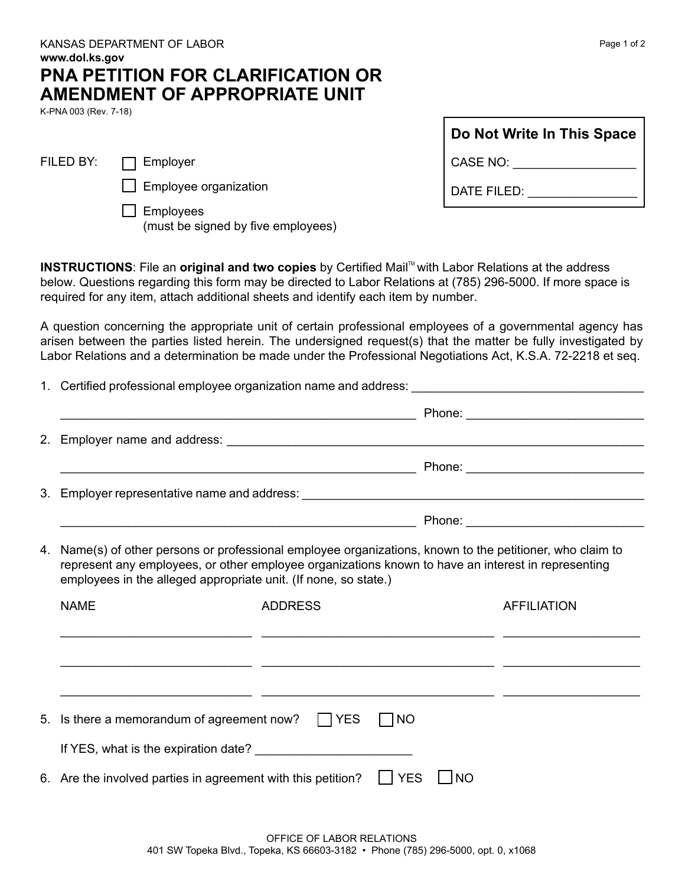| here a memorandum of agreement now? $\Box$ YES $\Box$ NO                                                      |
|---------------------------------------------------------------------------------------------------------------|
| ES, what is the expiration date?                                                                              |
| e the involved parties in agreement with this petition? $\Box$ YES $\Box$ NO                                  |
| OFFICE OF LABOR RELATIONS<br>401 SW Topeka Blvd., Topeka, KS 66603-3182 • Phone (785) 296-5000, opt. 0, x1068 |

## KANSAS DEPARTMENT OF LABOR **www.dol.ks.gov PNA PETITION FOR CLARIFICATION OR AMENDMENT OF APPROPRIATE UNIT**

K-PNA 003 (Rev. 7-18)

FILED BY: **FILED** BY:

 $\Box$  Employee organization

 $\Box$  Employees (must be signed by five employees)

**INSTRUCTIONS:** File an **original and two copies** by Certified Mail™ with Labor Relations at the address below. Questions regarding this form may be directed to Labor Relations at (785) 296-5000. If more space is required for any item, attach additional sheets and identify each item by number.

A question concerning the appropriate unit of certain professional employees of a governmental agency has arisen between the parties listed herein. The undersigned request(s) that the matter be fully investigated by Labor Relations and a determination be made under the Professional Negotiations Act, K.S.A. 72-2218 et seq.

1. Certified professional employee organization name and address: \_\_\_\_\_\_\_\_\_\_\_\_\_\_\_\_\_\_\_\_\_\_\_\_\_\_\_\_\_\_\_\_\_\_\_\_\_\_\_\_\_\_\_\_\_\_\_\_\_\_\_\_ Phone: \_\_\_\_\_\_\_\_\_\_\_\_\_\_\_\_\_\_\_\_\_\_\_\_\_\_ 2. Employer name and address: \_\_\_\_\_\_\_\_\_\_\_\_\_\_\_\_\_\_\_\_\_\_\_\_\_\_\_\_\_\_\_\_\_\_\_\_\_\_\_\_\_\_\_\_\_\_\_\_\_\_\_\_\_\_\_\_\_\_\_\_\_ \_\_\_\_\_\_\_\_\_\_\_\_\_\_\_\_\_\_\_\_\_\_\_\_\_\_\_\_\_\_\_\_\_\_\_\_\_\_\_\_\_\_\_\_\_\_\_\_\_\_\_\_ Phone: \_\_\_\_\_\_\_\_\_\_\_\_\_\_\_\_\_\_\_\_\_\_\_\_\_\_ 3. Employer representative name and address:  $\blacksquare$  Phone:  $\blacksquare$ 4. Name(s) of other persons or professional employee organizations, known to the petitioner, who claim to represent any employees, or other employee organizations known to have an interest in representing employees in the alleged appropriate unit. (If none, so state.) NAME ADDRESS AFFILIATION \_\_\_\_\_\_\_\_\_\_\_\_\_\_\_\_\_\_\_\_\_\_\_\_\_\_\_\_ \_\_\_\_\_\_\_\_\_\_\_\_\_\_\_\_\_\_\_\_\_\_\_\_\_\_\_\_\_\_\_\_\_\_ \_\_\_\_\_\_\_\_\_\_\_\_\_\_\_\_\_\_\_\_ \_\_\_\_\_\_\_\_\_\_\_\_\_\_\_\_\_\_\_\_\_\_\_\_\_\_\_\_ \_\_\_\_\_\_\_\_\_\_\_\_\_\_\_\_\_\_\_\_\_\_\_\_\_\_\_\_\_\_\_\_\_\_ \_\_\_\_\_\_\_\_\_\_\_\_\_\_\_\_\_\_\_\_ \_\_\_\_\_\_\_\_\_\_\_\_\_\_\_\_\_\_\_\_\_\_\_\_\_\_\_\_ \_\_\_\_\_\_\_\_\_\_\_\_\_\_\_\_\_\_\_\_\_\_\_\_\_\_\_\_\_\_\_\_\_\_ \_\_\_\_\_\_\_\_\_\_\_\_\_\_\_\_\_\_\_\_ 5. Is there a memorandum of agreement now?  $\Box$  YES  $\Box$  NO If YES, what is the expiration date? \_\_\_\_\_\_\_\_\_\_\_\_\_\_\_\_\_\_\_\_\_\_\_ 6. Are the involved parties in agreement with this petition?  $\Box$  YES  $\Box$  NO

**Do Not Write In This Space** CASE NO: \_\_\_\_\_\_\_\_\_\_\_\_\_\_\_\_\_\_\_\_\_\_

DATE FILED: **WE CONSIDER THE STATE OF STATE**